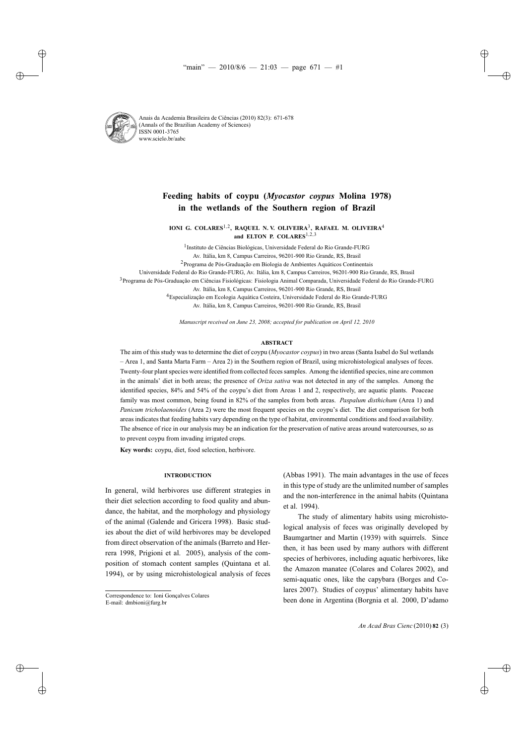

# **Feeding habits of coypu (***Myocastor coypus* **Molina 1978) in the wetlands of the Southern region of Brazil**

**IONI G. COLARES**1,2**, RAQUEL N. V. OLIVEIRA**3**, RAFAEL M. OLIVEIRA**<sup>4</sup> **and ELTON P. COLARES**1,2,<sup>3</sup>

<sup>1</sup>Instituto de Ciências Biológicas, Universidade Federal do Rio Grande-FURG Av. Itália, km 8, Campus Carreiros, 96201-900 Rio Grande, RS, Brasil

2Programa de Pós-Graduação em Biologia de Ambientes Aquáticos Continentais

Universidade Federal do Rio Grande-FURG, Av. Itália, km 8, Campus Carreiros, 96201-900 Rio Grande, RS, Brasil

3Programa de Pós-Graduação em Ciências Fisiológicas: Fisiologia Animal Comparada, Universidade Federal do Rio Grande-FURG

Av. Itália, km 8, Campus Carreiros, 96201-900 Rio Grande, RS, Brasil

4Especialização em Ecologia Aquática Costeira, Universidade Federal do Rio Grande-FURG

Av. Itália, km 8, Campus Carreiros, 96201-900 Rio Grande, RS, Brasil

*Manuscript received on June 23, 2008; accepted for publication on April 12, 2010*

# **ABSTRACT**

The aim of this study was to determine the diet of coypu (*Myocastor coypus*) in two areas (Santa Isabel do Sul wetlands – Area 1, and Santa Marta Farm – Area 2) in the Southern region of Brazil, using microhistological analyses of feces. Twenty-four plant species were identified from collected feces samples. Among the identified species, nine are common in the animals' diet in both areas; the presence of *Oriza sativa* was not detected in any of the samples. Among the identified species, 84% and 54% of the coypu's diet from Areas 1 and 2, respectively, are aquatic plants. Poaceae family was most common, being found in 82% of the samples from both areas. *Paspalum disthichum* (Area 1) and *Panicum tricholaenoides* (Area 2) were the most frequent species on the coypu's diet. The diet comparison for both areas indicates that feeding habits vary depending on the type of habitat, environmental conditions and food availability. The absence of rice in our analysis may be an indication for the preservation of native areas around watercourses, so as to prevent coypu from invading irrigated crops.

**Key words:** coypu, diet, food selection, herbivore.

# **INTRODUCTION**

In general, wild herbivores use different strategies in their diet selection according to food quality and abundance, the habitat, and the morphology and physiology of the animal (Galende and Gricera 1998). Basic studies about the diet of wild herbivores may be developed from direct observation of the animals (Barreto and Herrera 1998, Prigioni et al. 2005), analysis of the composition of stomach content samples (Quintana et al. 1994), or by using microhistological analysis of feces (Abbas 1991). The main advantages in the use of feces in this type of study are the unlimited number of samples and the non-interference in the animal habits (Quintana et al. 1994).

The study of alimentary habits using microhistological analysis of feces was originally developed by Baumgartner and Martin (1939) with squirrels. Since then, it has been used by many authors with different species of herbivores, including aquatic herbivores, like the Amazon manatee (Colares and Colares 2002), and semi-aquatic ones, like the capybara (Borges and Colares 2007). Studies of coypus' alimentary habits have been done in Argentina (Borgnia et al. 2000, D'adamo

Correspondence to: Ioni Gonçalves Colares

E-mail: dmbioni@furg.br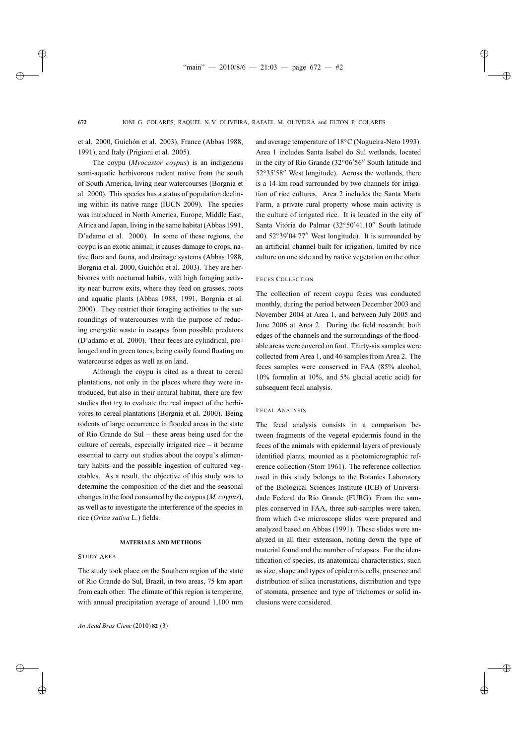et al. 2000, Guichón et al. 2003), France (Abbas 1988, 1991), and Italy (Prigioni et al. 2005).

The coypu (*Myocastor coypus*) is an indigenous semi-aquatic herbivorous rodent native from the south of South America, living near watercourses (Borgnia et al. 2000). This species has a status of population declining within its native range (IUCN 2009). The species was introduced in North America, Europe, Middle East, Africa and Japan, living in the same habitat (Abbas 1991, D'adamo et al. 2000). In some of these regions, the coypu is an exotic animal; it causes damage to crops, native flora and fauna, and drainage systems (Abbas 1988, Borgnia et al. 2000, Guichón et al. 2003). They are herbivores with nocturnal habits, with high foraging activity near burrow exits, where they feed on grasses, roots and aquatic plants (Abbas 1988, 1991, Borgnia et al. 2000). They restrict their foraging activities to the surroundings of watercourses with the purpose of reducing energetic waste in escapes from possible predators (D'adamo et al. 2000). Their feces are cylindrical, prolonged and in green tones, being easily found floating on watercourse edges as well as on land.

Although the coypu is cited as a threat to cereal plantations, not only in the places where they were introduced, but also in their natural habitat, there are few studies that try to evaluate the real impact of the herbivores to cereal plantations (Borgnia et al. 2000). Being rodents of large occurrence in flooded areas in the state of Rio Grande do Sul – these areas being used for the culture of cereals, especially irrigated rice – it became essential to carry out studies about the coypu's alimentary habits and the possible ingestion of cultured vegetables. As a result, the objective of this study was to determine the composition of the diet and the seasonal changes in the food consumed by the coypus (*M. coypus*), as well as to investigate the interference of the species in rice (*Oriza sativa* L.) fields.

# **MATERIALS AND METHODS**

## STUDY AREA

The study took place on the Southern region of the state of Rio Grande do Sul, Brazil, in two areas, 75 km apart from each other. The climate of this region is temperate, with annual precipitation average of around 1,100 mm and average temperature of 18◦C (Nogueira-Neto 1993). Area 1 includes Santa Isabel do Sul wetlands, located in the city of Rio Grande  $(32^{\circ}06'56''$  South latitude and 52°35′58″ West longitude). Across the wetlands, there is a 14-km road surrounded by two channels for irrigation of rice cultures. Area 2 includes the Santa Marta Farm, a private rural property whose main activity is the culture of irrigated rice. It is located in the city of Santa Vitória do Palmar (32°50'41.10" South latitude and  $52^{\circ}39'04.77''$  West longitude). It is surrounded by an artificial channel built for irrigation, limited by rice culture on one side and by native vegetation on the other.

## FECES COLLECTION

The collection of recent coypu feces was conducted monthly, during the period between December 2003 and November 2004 at Area 1, and between July 2005 and June 2006 at Area 2. During the field research, both edges of the channels and the surroundings of the floodable areas were covered on foot. Thirty-six samples were collected from Area 1, and 46 samples from Area 2. The feces samples were conserved in FAA (85% alcohol, 10% formalin at 10%, and 5% glacial acetic acid) for subsequent fecal analysis.

#### FECAL ANALYSIS

The fecal analysis consists in a comparison between fragments of the vegetal epidermis found in the feces of the animals with epidermal layers of previously identified plants, mounted as a photomicrographic reference collection (Storr 1961). The reference collection used in this study belongs to the Botanics Laboratory of the Biological Sciences Institute (ICB) of Universidade Federal do Rio Grande (FURG). From the samples conserved in FAA, three sub-samples were taken, from which five microscope slides were prepared and analyzed based on Abbas (1991). These slides were analyzed in all their extension, noting down the type of material found and the number of relapses. For the identification of species, its anatomical characteristics, such as size, shape and types of epidermis cells, presence and distribution of silica incrustations, distribution and type of stomata, presence and type of trichomes or solid inclusions were considered.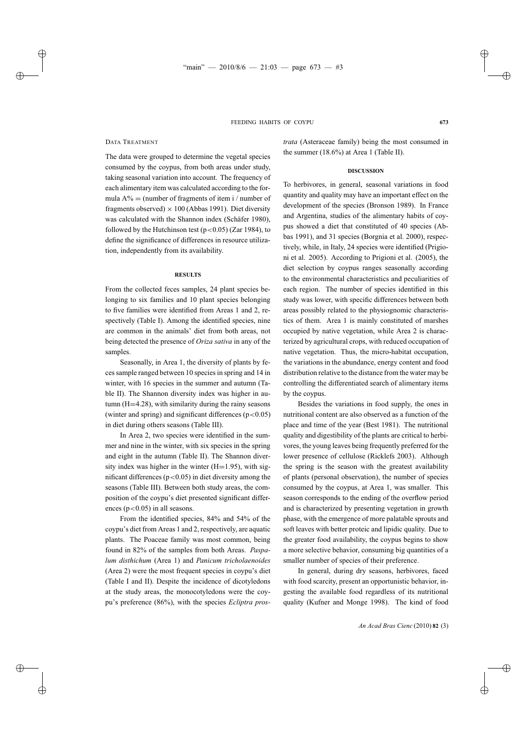## DATA TREATMENT

The data were grouped to determine the vegetal species consumed by the coypus, from both areas under study, taking seasonal variation into account. The frequency of each alimentary item was calculated according to the formula  $A\%$  = (number of fragments of item i / number of fragments observed)  $\times$  100 (Abbas 1991). Diet diversity was calculated with the Shannon index (Schäfer 1980), followed by the Hutchinson test ( $p < 0.05$ ) (Zar 1984), to define the significance of differences in resource utilization, independently from its availability.

## **RESULTS**

From the collected feces samples, 24 plant species belonging to six families and 10 plant species belonging to five families were identified from Areas 1 and 2, respectively (Table I). Among the identified species, nine are common in the animals' diet from both areas, not being detected the presence of *Oriza sativa* in any of the samples.

Seasonally, in Area 1, the diversity of plants by feces sample ranged between 10 species in spring and 14 in winter, with 16 species in the summer and autumn (Table II). The Shannon diversity index was higher in autumn (H=4.28), with similarity during the rainy seasons (winter and spring) and significant differences  $(p<0.05)$ in diet during others seasons (Table III).

In Area 2, two species were identified in the summer and nine in the winter, with six species in the spring and eight in the autumn (Table II). The Shannon diversity index was higher in the winter  $(H=1.95)$ , with significant differences ( $p < 0.05$ ) in diet diversity among the seasons (Table III). Between both study areas, the composition of the coypu's diet presented significant differences ( $p < 0.05$ ) in all seasons.

From the identified species, 84% and 54% of the coypu's diet from Areas 1 and 2, respectively, are aquatic plants. The Poaceae family was most common, being found in 82% of the samples from both Areas. *Paspalum disthichum* (Area 1) and *Panicum tricholaenoides* (Area 2) were the most frequent species in coypu's diet (Table I and II). Despite the incidence of dicotyledons at the study areas, the monocotyledons were the coypu's preference (86%), with the species *Ecliptra pros-* *trata* (Asteraceae family) being the most consumed in the summer (18.6%) at Area 1 (Table II).

#### **DISCUSSION**

To herbivores, in general, seasonal variations in food quantity and quality may have an important effect on the development of the species (Bronson 1989). In France and Argentina, studies of the alimentary habits of coypus showed a diet that constituted of 40 species (Abbas 1991), and 31 species (Borgnia et al. 2000), respectively, while, in Italy, 24 species were identified (Prigioni et al. 2005). According to Prigioni et al. (2005), the diet selection by coypus ranges seasonally according to the environmental characteristics and peculiarities of each region. The number of species identified in this study was lower, with specific differences between both areas possibly related to the physiognomic characteristics of them. Area 1 is mainly constituted of marshes occupied by native vegetation, while Area 2 is characterized by agricultural crops, with reduced occupation of native vegetation. Thus, the micro-habitat occupation, the variations in the abundance, energy content and food distribution relative to the distance from the water may be controlling the differentiated search of alimentary items by the coypus.

Besides the variations in food supply, the ones in nutritional content are also observed as a function of the place and time of the year (Best 1981). The nutritional quality and digestibility of the plants are critical to herbivores, the young leaves being frequently preferred for the lower presence of cellulose (Ricklefs 2003). Although the spring is the season with the greatest availability of plants (personal observation), the number of species consumed by the coypus, at Area 1, was smaller. This season corresponds to the ending of the overflow period and is characterized by presenting vegetation in growth phase, with the emergence of more palatable sprouts and soft leaves with better proteic and lipidic quality. Due to the greater food availability, the coypus begins to show a more selective behavior, consuming big quantities of a smaller number of species of their preference.

In general, during dry seasons, herbivores, faced with food scarcity, present an opportunistic behavior, ingesting the available food regardless of its nutritional quality (Kufner and Monge 1998). The kind of food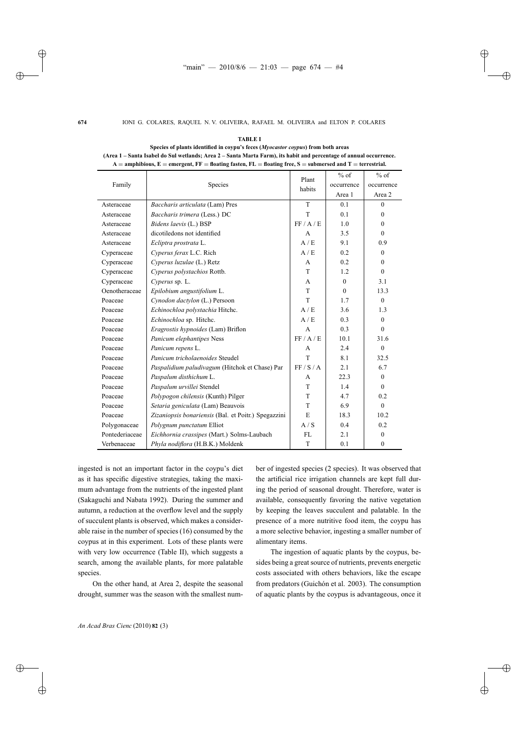|                |                                                     | Plant        | $\%$ of      | $%$ of       |
|----------------|-----------------------------------------------------|--------------|--------------|--------------|
| Family         | Species                                             | habits       | occurrence   | occurrence   |
|                |                                                     |              | Area 1       | Area 2       |
| Asteraceae     | Baccharis articulata (Lam) Pres                     | T            | 0.1          | $\theta$     |
| Asteraceae     | Baccharis trimera (Less.) DC                        | T            | 0.1          | $\theta$     |
| Asteraceae     | Bidens laevis (L.) BSP                              | FF/A/E       | 1.0          | $\Omega$     |
| Asteraceae     | dicotiledons not identified                         | A            | 3.5          | $\mathbf{0}$ |
| Asteraceae     | Ecliptra prostrata L.                               | A/E          | 9.1          | 0.9          |
| Cyperaceae     | Cyperus ferax L.C. Rich                             | A/E          | 0.2          | $\mathbf{0}$ |
| Cyperaceae     | Cyperus luzulae (L.) Retz                           | A            | 0.2          | $\theta$     |
| Cyperaceae     | Cyperus polystachios Rottb.                         | T            | 1.2          | $\mathbf{0}$ |
| Cyperaceae     | Cyperus sp. L.                                      | A            | $\mathbf{0}$ | 3.1          |
| Oenotheraceae  | Epilobium angustifolium L.                          | T            | $\theta$     | 13.3         |
| Poaceae        | Cynodon dactylon (L.) Persoon                       | T            | 1.7          | $\theta$     |
| Poaceae        | Echinochloa polystachia Hitchc.                     | A/E          | 3.6          | 1.3          |
| Poaceae        | Echinochloa sp. Hitchc.                             | A/E          | 0.3          | $\mathbf{0}$ |
| Poaceae        | Eragrostis hypnoides (Lam) Briflon                  | $\mathbf{A}$ | 0.3          | $\mathbf{0}$ |
| Poaceae        | Panicum elephantipes Ness                           | FF/A/E       | 10.1         | 31.6         |
| Poaceae        | Panicum repens L.                                   | A            | 2.4          | $\mathbf{0}$ |
| Poaceae        | Panicum tricholaenoides Steudel                     | T            | 8.1          | 32.5         |
| Poaceae        | Paspalidium paludivagum (Hitchok et Chase) Par      | FF/S/A       | 2.1          | 6.7          |
| Poaceae        | Paspalum disthichum L.                              | A            | 22.3         | $\mathbf{0}$ |
| Poaceae        | Paspalum urvillei Stendel                           | T            | 1.4          | $\mathbf{0}$ |
| Poaceae        | Polypogon chilensis (Kunth) Pilger                  | T            | 4.7          | 0.2          |
| Poaceae        | Setaria geniculata (Lam) Beauvois                   | T            | 6.9          | $\mathbf{0}$ |
| Poaceae        | Zizaniopsis bonariensis (Bal. et Poitr.) Spegazzini | E            | 18.3         | 10.2         |
| Polygonaceae   | Polygnum punctatum Elliot                           | A/S          | 0.4          | 0.2          |
| Pontederiaceae | Eichhornia crassipes (Mart.) Solms-Laubach          | <b>FL</b>    | 2.1          | $\mathbf{0}$ |
| Verbenaceae    | Phyla nodiflora (H.B.K.) Moldenk                    | T            | 0.1          | $\mathbf{0}$ |

**Species of plants identified in coypu's feces (***Myocastor coypus***) from both areas (Area 1 – Santa Isabel do Sul wetlands; Area 2 – Santa Marta Farm), its habit and percentage of annual occurrence. A** = **amphibious, E** = **emergent, FF** = **floating fasten, FL** = **floating free, S** = **submersed and T** = **terrestrial.**

**TABLE I**

ingested is not an important factor in the coypu's diet as it has specific digestive strategies, taking the maximum advantage from the nutrients of the ingested plant (Sakaguchi and Nabata 1992). During the summer and autumn, a reduction at the overflow level and the supply of succulent plants is observed, which makes a considerable raise in the number of species (16) consumed by the coypus at in this experiment. Lots of these plants were with very low occurrence (Table II), which suggests a search, among the available plants, for more palatable species.

On the other hand, at Area 2, despite the seasonal drought, summer was the season with the smallest number of ingested species (2 species). It was observed that the artificial rice irrigation channels are kept full during the period of seasonal drought. Therefore, water is available, consequently favoring the native vegetation by keeping the leaves succulent and palatable. In the presence of a more nutritive food item, the coypu has a more selective behavior, ingesting a smaller number of alimentary items.

The ingestion of aquatic plants by the coypus, besides being a great source of nutrients, prevents energetic costs associated with others behaviors, like the escape from predators (Guichón et al. 2003). The consumption of aquatic plants by the coypus is advantageous, once it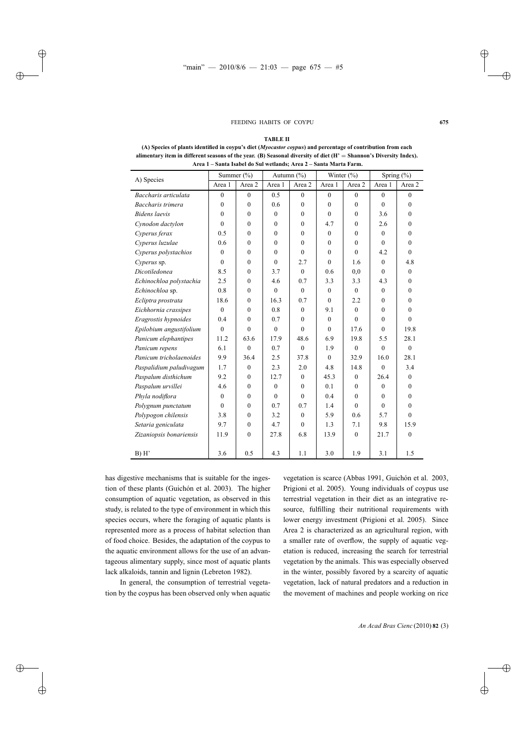#### FEEDING HABITS OF COYPU 675

#### **TABLE II**

|                         | Summer $(\%)$ |              | Autumn $(\%)$ |          | Winter $(\% )$ |              | Spring (%)   |                |
|-------------------------|---------------|--------------|---------------|----------|----------------|--------------|--------------|----------------|
| A) Species              | Area 1        | Area 2       | Area 1        | Area 2   | Area 1         | Area 2       | Area 1       | Area 2         |
| Baccharis articulata    | $\mathbf{0}$  | $\theta$     | 0.5           | $\theta$ | $\theta$       | $\theta$     | $\theta$     | $\theta$       |
| Baccharis trimera       | $\theta$      | $\theta$     | 0.6           | $\Omega$ | $\Omega$       | $\Omega$     | $\Omega$     | $\theta$       |
| <b>Bidens</b> laevis    | $\mathbf{0}$  | $\mathbf{0}$ | $\theta$      | $\theta$ | $\theta$       | $\theta$     | 3.6          | $\theta$       |
| Cynodon dactylon        | $\theta$      | $\Omega$     | $\theta$      | $\Omega$ | 4.7            | $\Omega$     | 2.6          | $\theta$       |
| Cyperus ferax           | 0.5           | $\theta$     | $\theta$      | $\theta$ | $\theta$       | $\Omega$     | $\theta$     | $\theta$       |
| Cyperus luzulae         | 0.6           | $\theta$     | $\theta$      | $\Omega$ | $\Omega$       | $\Omega$     | $\theta$     | $\theta$       |
| Cyperus polystachios    | $\theta$      | $\mathbf{0}$ | $\theta$      | $\Omega$ | $\Omega$       | $\Omega$     | 4.2          | $\Omega$       |
| Cyperus sp.             | $\mathbf{0}$  | $\mathbf{0}$ | $\theta$      | 2.7      | $\theta$       | 1.6          | $\mathbf{0}$ | 4.8            |
| Dicotiledonea           | 8.5           | $\theta$     | 3.7           | $\theta$ | 0.6            | 0,0          | $\theta$     | $\mathbf{0}$   |
| Echinochloa polystachia | 2.5           | $\theta$     | 4.6           | 0.7      | 3.3            | 3.3          | 4.3          | $\theta$       |
| Echinochloa sp.         | 0.8           | $\Omega$     | $\Omega$      | $\Omega$ | $\Omega$       | $\Omega$     | $\theta$     | $\theta$       |
| Ecliptra prostrata      | 18.6          | $\mathbf{0}$ | 16.3          | 0.7      | $\Omega$       | 2.2          | $\theta$     | $\theta$       |
| Eichhornia crassipes    | $\mathbf{0}$  | $\Omega$     | 0.8           | $\theta$ | 9.1            | $\Omega$     | $\Omega$     | $\theta$       |
| Eragrostis hypnoides    | 0.4           | $\theta$     | 0.7           | $\Omega$ | $\theta$       | $\theta$     | $\theta$     | $\overline{0}$ |
| Epilobium angustifolium | $\theta$      | $\theta$     | $\Omega$      | $\Omega$ | $\Omega$       | 17.6         | $\theta$     | 19.8           |
| Panicum elephantipes    | 11.2          | 63.6         | 17.9          | 48.6     | 6.9            | 19.8         | 5.5          | 28.1           |
| Panicum repens          | 6.1           | $\theta$     | 0.7           | $\theta$ | 1.9            | $\theta$     | $\theta$     | $\theta$       |
| Panicum tricholaenoides | 9.9           | 36.4         | 2.5           | 37.8     | $\Omega$       | 32.9         | 16.0         | 28.1           |
| Paspalidium paludivagum | 1.7           | $\mathbf{0}$ | 2.3           | 2.0      | 4.8            | 14.8         | $\theta$     | 3.4            |
| Paspalum disthichum     | 9.2           | $\theta$     | 12.7          | $\Omega$ | 45.3           | $\Omega$     | 26.4         | $\theta$       |
| Paspalum urvillei       | 4.6           | $\theta$     | $\theta$      | $\Omega$ | 0.1            | $\theta$     | $\theta$     | $\theta$       |
| Phyla nodiflora         | $\mathbf{0}$  | $\mathbf{0}$ | $\Omega$      | $\theta$ | 0.4            | $\theta$     | $\theta$     | $\theta$       |
| Polygnum punctatum      | $\theta$      | $\theta$     | 0.7           | 0.7      | 1.4            | $\Omega$     | $\theta$     | $\theta$       |
| Polypogon chilensis     | 3.8           | $\theta$     | 3.2           | $\theta$ | 5.9            | 0.6          | 5.7          | $\theta$       |
| Setaria geniculata      | 9.7           | $\Omega$     | 4.7           | $\Omega$ | 1.3            | 7.1          | 9.8          | 15.9           |
| Zizaniopsis bonariensis | 11.9          | $\mathbf{0}$ | 27.8          | 6.8      | 13.9           | $\mathbf{0}$ | 21.7         | $\mathbf{0}$   |
|                         |               |              |               |          |                |              |              |                |
| B) H'                   | 3.6           | 0.5          | 4.3           | 1.1      | 3.0            | 1.9          | 3.1          | 1.5            |

**(A) Species of plants identified in coypu's diet (***Myocastor coypus***) and percentage of contribution from each alimentary item in different seasons of the year. (B) Seasonal diversity of diet (H'** = **Shannon's Diversity Index). Area 1 – Santa Isabel do Sul wetlands; Area 2 – Santa Marta Farm.**

has digestive mechanisms that is suitable for the ingestion of these plants (Guichón et al. 2003). The higher consumption of aquatic vegetation, as observed in this study, is related to the type of environment in which this species occurs, where the foraging of aquatic plants is represented more as a process of habitat selection than of food choice. Besides, the adaptation of the coypus to the aquatic environment allows for the use of an advantageous alimentary supply, since most of aquatic plants lack alkaloids, tannin and lignin (Lebreton 1982).

In general, the consumption of terrestrial vegetation by the coypus has been observed only when aquatic vegetation is scarce (Abbas 1991, Guichón et al. 2003, Prigioni et al. 2005). Young individuals of coypus use terrestrial vegetation in their diet as an integrative resource, fulfilling their nutritional requirements with lower energy investment (Prigioni et al. 2005). Since Area 2 is characterized as an agricultural region, with a smaller rate of overflow, the supply of aquatic vegetation is reduced, increasing the search for terrestrial vegetation by the animals. This was especially observed in the winter, possibly favored by a scarcity of aquatic vegetation, lack of natural predators and a reduction in the movement of machines and people working on rice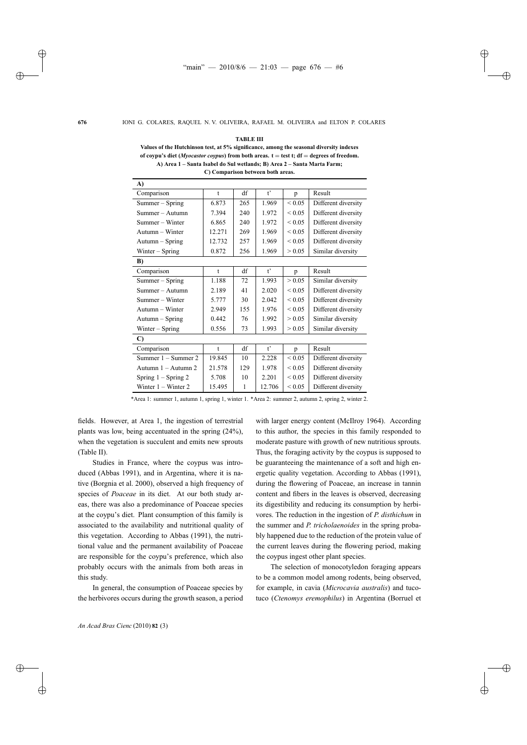|  | A RI | ×. | H |
|--|------|----|---|
|--|------|----|---|

**Values of the Hutchinson test, at 5% significance, among the seasonal diversity indexes of coypu's diet (***Myocastor coypus***) from both areas. t** = **test t; df** = **degrees of freedom. A) Area 1 – Santa Isabel do Sul wetlands; B) Area 2 – Santa Marta Farm; C) Comparison between both areas.**

| A)                    |              |              |              |                |                     |  |
|-----------------------|--------------|--------------|--------------|----------------|---------------------|--|
| Comparison            | $\mathbf t$  | df           | $t^{\prime}$ | $\mathfrak{p}$ | Result              |  |
| Summer - Spring       | 6.873        | 265          | 1.969        | ${}< 0.05$     | Different diversity |  |
| $Summer - Autumn$     | 7.394        | 240          | 1.972        | ${}< 0.05$     | Different diversity |  |
| Summer – Winter       | 6.865        | 240          | 1.972        | ${}_{0.05}$    | Different diversity |  |
| $Autumn - Winter$     | 12.271       | 269          | 1.969        | ${}< 0.05$     | Different diversity |  |
| $Autumn - Spring$     | 12.732       | 257          | 1.969        | ${}< 0.05$     | Different diversity |  |
| Winter $-$ Spring     | 0.872        | 256          | 1.969        | > 0.05         | Similar diversity   |  |
| B)                    |              |              |              |                |                     |  |
| Comparison            | $\mathbf{t}$ | df           | $t^{\prime}$ | p              | Result              |  |
| Summer - Spring       | 1.188        | 72           | 1.993        | > 0.05         | Similar diversity   |  |
| Summer – Autumn       | 2.189        | 41           | 2.020        | ${}_{0.05}$    | Different diversity |  |
| Summer – Winter       | 5.777        | 30           | 2.042        | ${}_{0.05}$    | Different diversity |  |
| Autumn – Winter       | 2.949        | 155          | 1.976        | ${}< 0.05$     | Different diversity |  |
| Autumn – Spring       | 0.442        | 76           | 1.992        | > 0.05         | Similar diversity   |  |
| Winter $-$ Spring     | 0.556        | 73           | 1.993        | > 0.05         | Similar diversity   |  |
| $\mathbf{C}$          |              |              |              |                |                     |  |
| Comparison            | t            | df           | $t^{\prime}$ | p              | Result              |  |
| Summer 1 – Summer 2   | 19.845       | 10           | 2.228        | ${}< 0.05$     | Different diversity |  |
| Autumn 1 – Autumn 2   | 21.578       | 129          | 1.978        | ${}_{0.05}$    | Different diversity |  |
| Spring $1 -$ Spring 2 | 5.708        | 10           | 2.201        | ${}_{0.05}$    | Different diversity |  |
| Winter 1 – Winter 2   | 15.495       | $\mathbf{1}$ | 12.706       | ${}< 0.05$     | Different diversity |  |

\*Area 1: summer 1, autumn 1, spring 1, winter 1. \*Area 2: summer 2, autumn 2, spring 2, winter 2.

fields. However, at Area 1, the ingestion of terrestrial plants was low, being accentuated in the spring (24%), when the vegetation is succulent and emits new sprouts (Table II).

Studies in France, where the coypus was introduced (Abbas 1991), and in Argentina, where it is native (Borgnia et al. 2000), observed a high frequency of species of *Poaceae* in its diet. At our both study areas, there was also a predominance of Poaceae species at the coypu's diet. Plant consumption of this family is associated to the availability and nutritional quality of this vegetation. According to Abbas (1991), the nutritional value and the permanent availability of Poaceae are responsible for the coypu's preference, which also probably occurs with the animals from both areas in this study.

In general, the consumption of Poaceae species by the herbivores occurs during the growth season, a period with larger energy content (McIlroy 1964). According to this author, the species in this family responded to moderate pasture with growth of new nutritious sprouts. Thus, the foraging activity by the coypus is supposed to be guaranteeing the maintenance of a soft and high energetic quality vegetation. According to Abbas (1991), during the flowering of Poaceae, an increase in tannin content and fibers in the leaves is observed, decreasing its digestibility and reducing its consumption by herbivores. The reduction in the ingestion of *P. disthichum* in the summer and *P. tricholaenoides* in the spring probably happened due to the reduction of the protein value of the current leaves during the flowering period, making the coypus ingest other plant species.

The selection of monocotyledon foraging appears to be a common model among rodents, being observed, for example, in cavia (*Microcavia australis*) and tucotuco (*Ctenomys eremophilus*) in Argentina (Borruel et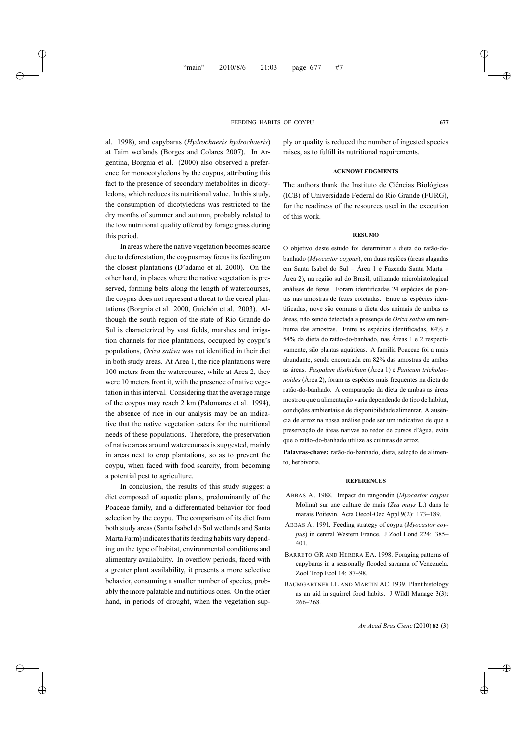al. 1998), and capybaras (*Hydrochaeris hydrochaeris*) at Taim wetlands (Borges and Colares 2007). In Argentina, Borgnia et al. (2000) also observed a preference for monocotyledons by the coypus, attributing this fact to the presence of secondary metabolites in dicotyledons, which reduces its nutritional value. In this study, the consumption of dicotyledons was restricted to the dry months of summer and autumn, probably related to the low nutritional quality offered by forage grass during this period.

In areas where the native vegetation becomes scarce due to deforestation, the coypus may focus its feeding on the closest plantations (D'adamo et al. 2000). On the other hand, in places where the native vegetation is preserved, forming belts along the length of watercourses, the coypus does not represent a threat to the cereal plantations (Borgnia et al. 2000, Guichón et al. 2003). Although the south region of the state of Rio Grande do Sul is characterized by vast fields, marshes and irrigation channels for rice plantations, occupied by coypu's populations, *Oriza sativa* was not identified in their diet in both study areas. At Area 1, the rice plantations were 100 meters from the watercourse, while at Area 2, they were 10 meters front it, with the presence of native vegetation in this interval. Considering that the average range of the coypus may reach 2 km (Palomares et al. 1994), the absence of rice in our analysis may be an indicative that the native vegetation caters for the nutritional needs of these populations. Therefore, the preservation of native areas around watercourses is suggested, mainly in areas next to crop plantations, so as to prevent the coypu, when faced with food scarcity, from becoming a potential pest to agriculture.

In conclusion, the results of this study suggest a diet composed of aquatic plants, predominantly of the Poaceae family, and a differentiated behavior for food selection by the coypu. The comparison of its diet from both study areas (Santa Isabel do Sul wetlands and Santa Marta Farm) indicates that its feeding habits vary depending on the type of habitat, environmental conditions and alimentary availability. In overflow periods, faced with a greater plant availability, it presents a more selective behavior, consuming a smaller number of species, probably the more palatable and nutritious ones. On the other hand, in periods of drought, when the vegetation supply or quality is reduced the number of ingested species raises, as to fulfill its nutritional requirements.

## **ACKNOWLEDGMENTS**

The authors thank the Instituto de Ciências Biológicas (ICB) of Universidade Federal do Rio Grande (FURG), for the readiness of the resources used in the execution of this work.

#### **RESUMO**

O objetivo deste estudo foi determinar a dieta do ratão-dobanhado (*Myocastor coypus*), em duas regiões (áreas alagadas em Santa Isabel do Sul – Área 1 e Fazenda Santa Marta – Área 2), na região sul do Brasil, utilizando microhistological análises de fezes. Foram identificadas 24 espécies de plantas nas amostras de fezes coletadas. Entre as espécies identificadas, nove são comuns a dieta dos animais de ambas as áreas, não sendo detectada a presença de *Oriza sativa* em nenhuma das amostras. Entre as espécies identificadas, 84% e 54% da dieta do ratão-do-banhado, nas Áreas 1 e 2 respectivamente, são plantas aquáticas. A família Poaceae foi a mais abundante, sendo encontrada em 82% das amostras de ambas as áreas. *Paspalum disthichum* (Área 1) e *Panicum tricholaenoides* (Área 2), foram as espécies mais frequentes na dieta do ratão-do-banhado. A comparação da dieta de ambas as áreas mostrou que a alimentação varia dependendo do tipo de habitat, condições ambientais e de disponibilidade alimentar. A ausência de arroz na nossa análise pode ser um indicativo de que a preservação de áreas nativas ao redor de cursos d'água, evita que o ratão-do-banhado utilize as culturas de arroz.

**Palavras-chave:** ratão-do-banhado, dieta, seleção de alimento, herbivoria.

## **REFERENCES**

- ABBAS A. 1988. Impact du rangondin (*Myocastor coypus* Molina) sur une culture de mais (*Zea mays* L.) dans le marais Poitevin. Acta Oecol-Oec Appl 9(2): 173–189.
- ABBAS A. 1991. Feeding strategy of coypu (*Myocastor coypus*) in central Western France. J Zool Lond 224: 385– 401.
- BARRETO GR AND HERERA EA. 1998. Foraging patterns of capybaras in a seasonally flooded savanna of Venezuela. Zool Trop Ecol 14: 87–98.
- BAUMGARTNER LL AND MARTIN AC. 1939. Plant histology as an aid in squirrel food habits. J Wildl Manage 3(3): 266–268.